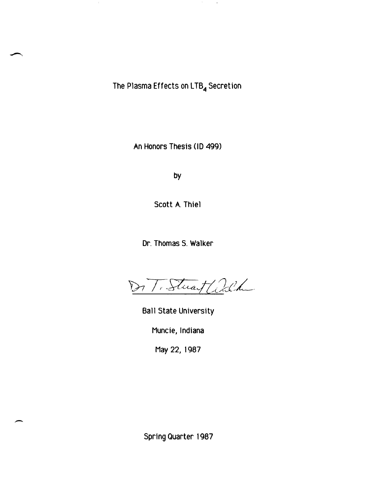The Plasma Effects on LTB<sub>4</sub> Secretion

 $\sim$ 

 $\mathcal{A}$ 

An Honors Thesis (10 499)

by

Scott A. Thiel

Dr. Thomas S. Walker

ToStwart ald

Ball State University

Muncie, Indiana

May 22, 1987

Spring Quarter 1987

-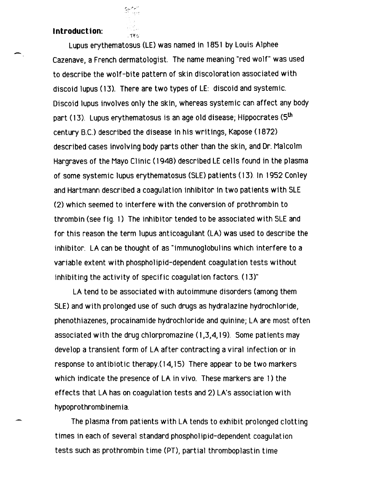### **I ntroduct ion:**

أأمكنك

 $T$  $H$  $F$ 

-

Lupus erythematosus (LE) was named in 1851 by Louis Alphee Cazenave, a French dermatologist. The name meaning "red wolf" was used to describe the wolf-bite pattern of skin discoloration associated with discoid lupus (13). There are two types of LE: discoid and systemic. Discoid lupus involves only the skin, whereas systemic can affect any body part (13). Lupus erythematosus is an age old disease; Hippocrates (5<sup>th</sup> century B.C.) described the disease in his writings, Kapose ( 1872) described cases involving body parts other than the skin, and Dr. Malcolm Hargraves of the Mayo Clinic (1948) described LE cells found in the plasma of some systemic lupus erythematosus (SLE) patients (13). In 1952 Conley and Hartmann described a coagulation inhibitor in two patients with SLE (2) which seemed to interfere with the conversion of prothrombin to thrombin (see fig. 1) The inhibitor tended to be associated with SLE and for this reason the term lupus anticoagulant (LA) was used to describe the inhibitor. LA can be thought of as "immunoglobulins which interfere to a variable extent with phospholipid-dependent coagulation tests without inhibiting the activity of specific coagulation factors. (13)"

LA tend to be associated with autoimmune disorders (among them SLE) and with prolonged use of such drugs as hydralazine hydrochloride, phenothiazenes, procainamide hydrochloride and quinine; LA are most often associated with the drug chlorpromazine (I ,3,4, 19). Some patients may develop a transient form of LA after contracting a viral infection or in response to antibiotic therapy.( 14, 15) There appear to be two markers which indicate the presence of LA in vivo. These markers are 1) the effects that LA has on coagulation tests and 2) LA's association with hypoprothrombinemia.

The plasma from patients with LA tends to exhibit prolonged clotting times in each of several standard phosphOlipid-dependent coagulation tests such as prothrombin time (PT), partial thromboplastin time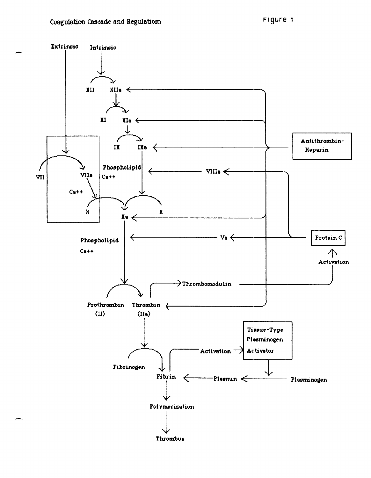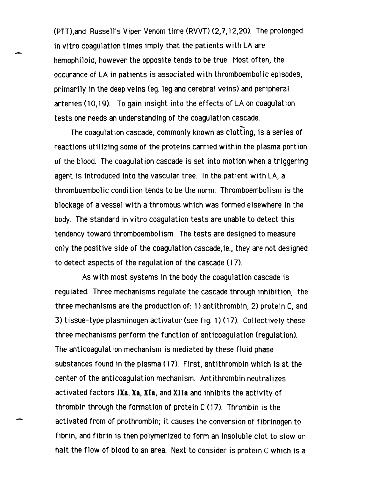(PTT>.and Russell's Viper Venom time (RVVT) (2,7,12,20). The prolonged in vitro coagulation times imply that the patients with LA are hemophiloid, however the opposite tends to be true. Most often, the occurance of LA in patients is associated with thromboembolic episodes, primarily in the deep veins (eg. leg and cerebral veins) and peripheral arteries (10,19). To gain insight into the effects of LA on coagulation tests one needs an understanding of the coagulation cascade.

 $\overline{\phantom{0}}$ 

-

The coagulation cascade, commonly known as clotting, is a series of reactions utilizing some of the proteins carried within the plasma portion of the blood. The coagulation cascade is set into motion when a triggering agent is introduced into the vascular tree. In the patient with LA, a thromboembolic condition tends to be the norm. Thromboembolism is the blockage of a vessel with a thrombus which was formed elsewhere in the body. The standard in vitro coagulation tests are unable to detect this tendency toward thromboembolism. The tests are designed to measure only the positive side of the coagulation cascade,ie., they are not designed to detect aspects of the regulat ion of the cascade ( 17).

As with most systems in the body the coagulation cascade is regulated. Three mechanisms regulate the cascade through inhibition; the three mechanisms are the production of: 1) antithrombin, 2) protein C, and 3) tissue-type plasminogen activator (see fig. 1) (17). Collectively these three mechanisms perform the function of anticoagulation (regulation). The anticoagulation mechanism is mediated by these fluid phase substances found in the plasma (17). First, antithrombin which is at the center of the anticoagulation mechanism. Antithrombin neutralizes activated factors IXa, Xa, Xla, and XIIa and inhibits the activity of thrombin through the formation of protein C (17). Thrombin is the activated from of prothrombin; it causes the conversion of fibrinogen to fibrin, and fibrin is then polymerized to form an insoluble clot to slow or halt the flow of blood to an area. Next to consider is protein C which is a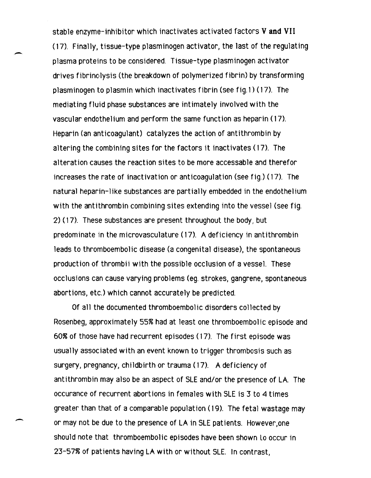stable enzyme-inhibitor which inactivates activated factors **V and VII**  (17). Finally, tissue-type plasminogen activator, the last of the regulating plasma proteins to be considered. Tissue-type plasminogen activator drives fibrinolysis (the breakdown of polymerized fibrin) by transforming plasminogen to plasmin which inactivates fibrin (see fig.1) (17). The mediating fluid phase substances are intimately involved with the vascular endothelium and perform the same function as heparin (17). Heparin (an anticoagulant) catalyzes the action of antithrombin by altering the combining sites for the factors it inactivates (17). The alteration causes the reaction sites to be more accessable and therefor increases the rate of inactivation or anticoagulation (see fig.) (17). The natural heparin-like substances are partially embedded in the endothelium with the antithrombin combining sites extending into the vessel (see fig. 2) (17). These substances are present throughout the body, but predominate 'in the microvasculature (17). A deficiency in antithrombin leads to thromboembolic disease (a congenital disease), the spontaneous production of thrombii with the possible occlusion of a vessel. These occlusions can cause varying problems (eg. strokes, gangrene, spontaneous abortions, etc.) which cannot accurately be predicted.

-

-

Of all the documented thromboembolic disorders collected by Rosenbeg, approximately 55% had at least one thromboembolic episode and 60% of those have had recurrent episodes (17). The first episode was usually associated with an event known to trigger thrombosis such as surgery, pregnancy, childbirth or trauma (17). A deficiency of antithrombin may also be an aspect of SLE and/or the presence of LA. The occurance of recurrent abortions in females with SLE is 3 to 4 times greater than that of a comparable population (19). The fetal wastage may or may not be due to the presence of LA in SLE patients. However,one should note that thromboembolic episodes have been shown Lo occur in 23-57~ of patients having LA with or without SLE. In contrast,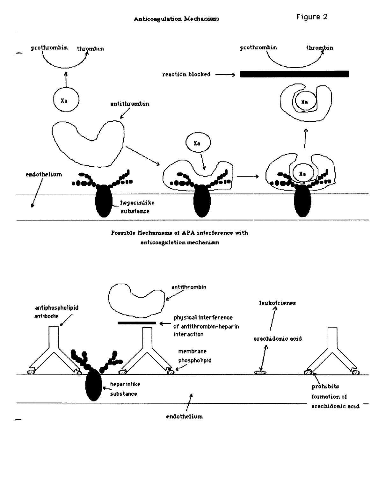

Possible Mechanisms of APA interference with anticoagulation mechanism

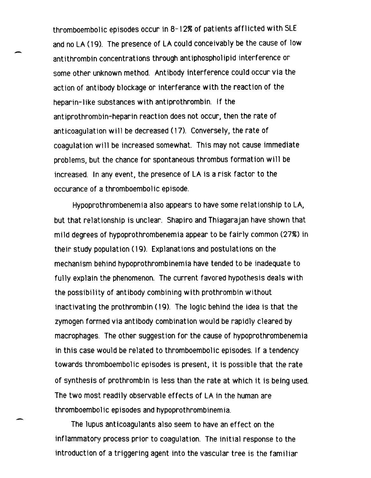thromboembolic episodes occur in 8-12% of patients afflicted with SLE and no LA (19). The presence of LA could conceivably be the cause of low antithrombin concentrations through antiphospholipid interference or some other unknown method. Antibody interference could occur via the action of antibody blockage or interferance with the reaction of the heparin-like substances with antiprothrombin. If the antiprothrombin-heparin reaction does not occur, then the rate of anticoagulation will be decreased (17). Conversely, the rate of coagulation will be increased somewhat. This may not cause immediate problems, but the chance for spontaneous thrombus formation will be increased. In any event, the presence of LA is a risk factor to the occurance of a thromboembolic episode.

-

Hypoprothrombenemia also appears to have some relationship to LA, but that relationship is unclear. Shapiro and Thiagarajan have shown that mi ld degrees of hypoprothrombenemia appear to be fairly common (27%) in their study population (19). Explanations and postulations on the mechanism behind hypoprothrombinemia have tended to be inadequate to fully explain the phenomenon. The current favored hypothesis deals with the possibility of antibody combining with prothrombin without inactivating the prothrombin (19). The logic behind the idea is that the zymogen formed via antibody combination would be rapidly cleared by macrophages. The other suggestion for the cause of hypoprothrombenemia in this case would be related to thromboembolic episodes. If a tendency towards thromboembolic episodes is present, it is possible that the rate of synthesis of prothrombin is less than the rate at which it is being used. The two most readily observable effects of LA in the human are thromboembolic episodes and hypoprothrombinemia.

The lupus anticoagulants also seem to have an effect on the inflammatory process prior to coagulation. The initial response to the introduction of a triggering agent into the vascular tree is the familiar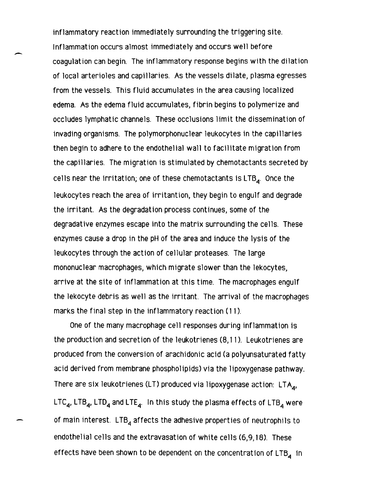inflammatory reaction immediately surrounding the triggering site. Inflammation occurs almost immediately and occurs well before coagulation can begin. The inflammatory response begins with the dilation of local arterioles and capillaries. As the vessels dilate, plasma egresses from the vessels. This fluid accumulates in the area causing localized edema. As the edema fluid accumulates, fibrin begins to polymerize and occludes lymphatic channels. These occlusions limit the dissemination of invading organisms. The polymorphonuclear leukocytes in the capillaries then begin to adhere to the endothelial wall to facilitate migration from the capillaries. The migration is stimulated by chemotactants secreted by cells near the irritation; one of these chemotactants is  $LTB<sub>4</sub>$ . Once the leukocytes reach the area of irritantion, they begin to engulf and degrade the irritant. As the degradation process continues, some of the degradative enzymes escape into the matrix surrounding the cells. These enzymes cause a drop in the pH of the area and induce the lysis of the leukocytes through the action of cellular proteases. The large mononuclear macrophages, which migrate slower than the Jekocytes, arrive at the site of inflammation at this time. The macrophages engulf the lekocyte debris as well as the irritant. The arrival of the macrophages marks the final step in the inflammatory reaction (11).

-

One of the many macrophage cell responses during inflammation is the production and secretion of the leukotrienes (8,11). Leukotrienes are produced from the conversion of arachidonic acid (a polyunsaturated fatty acid derived from membrane phospholipids) via the lipoxygenase pathway. There are six leukotrienes (LT) produced via lipoxygenase action: LTA $_{\mathcal{A}^{\prime}}$ LTC<sub>4</sub>, LTB<sub>4</sub>, LTD<sub>4</sub> and LTE<sub>4</sub>. In this study the plasma effects of LTB<sub>4</sub> were of main interest.  $LTB<sub>4</sub>$  affects the adhesive properties of neutrophils to endothelial cells and the extravasation of white cells (6,9,18). These effects have been shown to be dependent on the concentration of LTB<sub>4</sub> in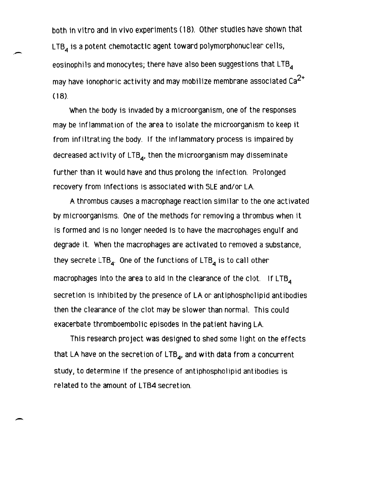both in vitro and in vivo experiments (18). Other studies have shown that  $LTB<sub>4</sub>$  is a potent chemotactic agent toward polymorphonuclear cells, eosinophils and monocytes; there have also been suggestions that  $LTB<sub>4</sub>$ may have ionophoric activity and may mobilize membrane associated Ca $^{2\text{+}}$  $(18)$ .

When the body is invaded by a microorganism, one of the responses may be inflammation of the area to isolate the microorganism to keep it from infiltrating the body. If the inflammatory process is impaired by decreased activity of  $LTB_{4}$ , then the microorganism may disseminate further than it would have and thus prolong the infection. Prolonged recovery from infections is associated wlth SLE and/or LA.

A thrombus causes a macrophage reaction similar to the one activated by microorganisms. One of the methods for removing a thrombus when it is formed and is no longer needed is to have the macrophages engulf and degrade it. When the macrophages are activated to removed a substance, they secrete  $LTB_{4}$ . One of the functions of  $LTB_{4}$  is to call other macrophages into the area to aid in the clearance of the clot. If  $LTB<sub>A</sub>$ secretion is inhibited by the presence of LA or antiphospholipid antibodies then the clearance of the clot may be slower than normal. This could exacerbate thromboembolic episodes in the patient having LA.

This research project was designed to shed some light on the effects that LA have on the secretion of  $LTB<sub>4</sub>$ , and with data from a concurrent study, to determine if the presence of antiphospholipid antibodies is related to the amount of LTB4 secretion.

 $\overline{\phantom{0}}$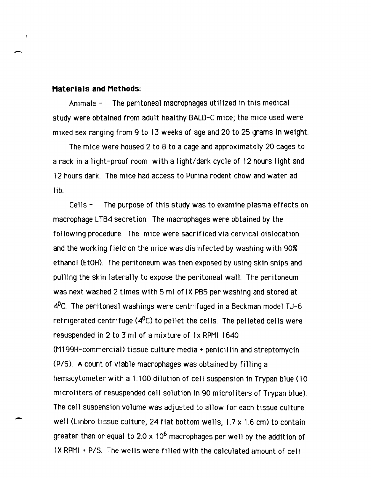#### **Materials and Methods:**

-,

 $\overline{1}$ 

-

Animals - The peritoneal macrophages utilized in this medical study were obtained from adult healthy BALB-C mice; the mice used were mixed sex ranging from 9 to 13 weeks of age and 20 to 25 grams in weight.

The mice were housed 2 to 8 to a cage and approximately 20 cages to a rack in a light-proof room with a light/dark cycle of 12 hours light and 12 hours dark. The mice had access to Purina rodent chow and water ad lib.

Cells - The purpose of this study was to examine plasma effects on macrophage LTB4 secretion. The macrophages were obtained by the following procedure. The mice were sacrificed via cervical dislocation and the working field on the mice was disinfected by washing with 90% ethanol (EtOH). The peritoneum was then exposed by using skin snips and pulling the skin laterally to expose the peritoneal wall. The peritoneum was next washed 2 times with 5 ml of 1X PBS per washing and stored at  $4^{\circ}$ C. The peritoneal washings were centrifuged in a Beckman model TJ-6 refrigerated centrifuge  $(4^0C)$  to pellet the cells. The pelleted cells were resuspended in 2 to 3 ml of a mixture of 1x RPMI 1640 (M 199H-commercial) tissue culture media + penici llin and streptomycin (PIS). A count of viable macrophages was obtained by filling a hemacytometer with a 1: 100 dilution of cell suspension in Trypan blue (10 microliters of resuspended cell solution in 90 microliters of Trypan blue). The cell suspension volume was adjusted to allow for each tissue culture well (Linbro tissue culture, 24 flat bottom wells, 1.7 x 1.6 cm) to contain greater than or equal to  $2.0 \times 10^6$  macrophages per well by the addition of IX RPMI + P/S. The wells were filled with the calculated amount of cell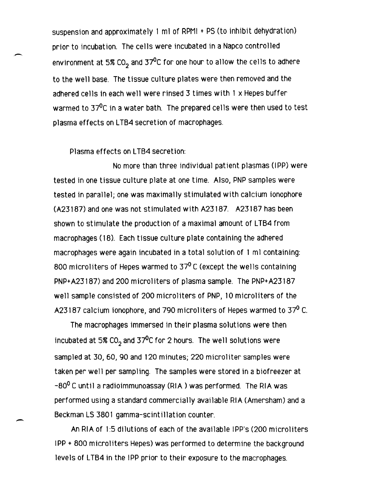suspension and approximately 1 ml of RPMI + PS (to inhibit dehydration) prior to incubation. The cel1s were incubated in a Napco control1ed environment at 5% CO<sub>2</sub> and 37<sup>0</sup>C for one hour to allow the cells to adhere to the wel1 base. The tissue culture plates were then removed and the adhered cel1s in each well were rinsed 3 times with 1 x Hepes buffer warmed to  $37^{\circ}$ C in a water bath. The prepared cells were then used to test plasma effects on LTB4 secretion of macrophages.

### Plasma effects on LTB4 secretion:

 $\overline{\phantom{0}}$ 

No more than three individual patient plasmas (IPP) were tested in one tissue culture plate at one time. Also, PNP samples were tested in parallel; one was maximally stimulated with calcium ionophore (A23187) and one was not stimulated with A23187. A23187 has been shown to stimulate the production of a maximal amount of LTB4 from macrophages (18). Each tissue culture plate containing the adhered macrophages were again incubated in a total solution of 1 ml containing: 800 microliters of Hepes warmed to  $37^{\circ}$  C (except the wells containing PNP+A23187) and 200 microliters of plasma sample. The PNP+A23187 well sample consisted of 200 microliters of PNP, 10 microliters of the A23187 calcium ionophore, and 790 microliters of Hepes warmed to 37<sup>0</sup> C.

The macrophages immersed in their plasma solutions were then incubated at 5% CO<sub>2</sub> and 37<sup>0</sup>C for 2 hours. The well solutions were sampled at 30, 60, 90 and 120 minutes; 220 microliter samples were taken per well per sampling. The samples were stored in a biofreezer at  $-80^0$  C until a radioimmunoassay (RIA) was performed. The RIA was performed using a standard commercially available RIA (Amersham) and a Beckman LS 3801 gamma-scintillation counter.

An RIA of 1:5 dilutions of each of the available I PP's (200 microliters IPP + 800 microliters Hepes) was performed to determine the background levels of LTB4 in the IPP prior to their exposure to the macrophages.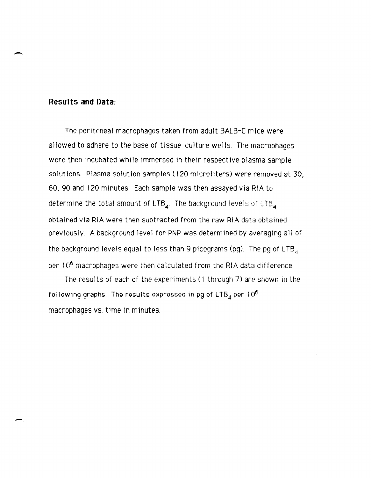## **Results and Data:**

--

-,

The peritoneal macrophages taken from adult BALB-C mice were allowed to adhere to the base of tissue-culture wells. The macrophages were then incubated while immersed in their respective plasma sample solutions. Plasma solution samples (120 microliters) were removed at 30, 60,90 and 120 minutes. Each sample was then assayed via HIA to determine the total amount of LTB<sub>4</sub>. The background levels of LTB<sub>4</sub> obtained via RIA were then subtracted from the raw RIA data obtained previously. A background level for PNP was determined by averaging all of the background levels equal to less than 9 picograms (pg). The pg of  $LTB<sub>A</sub>$ per 10<sup>6</sup> macrophages were then calculated from the RIA data difference.

The results of each of the experiments (1 through 7) are shown in the following graphs. The results expressed in pg of LTB<sub>4</sub> per 10<sup>6</sup> macrophages VS. time in minutes.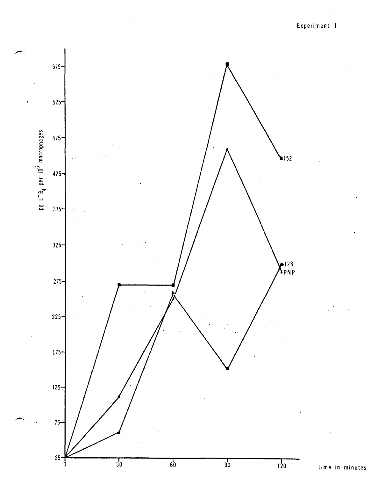Experiment 1

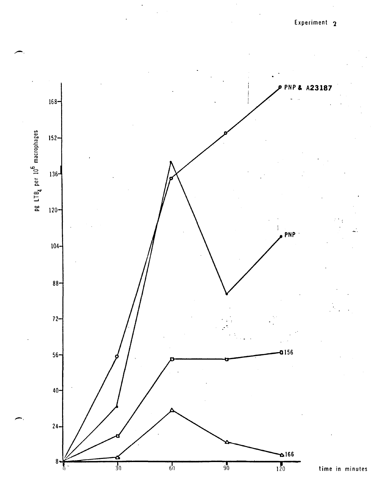

time in minutes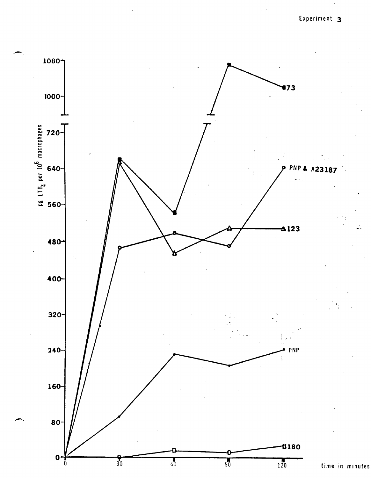Experiment 3

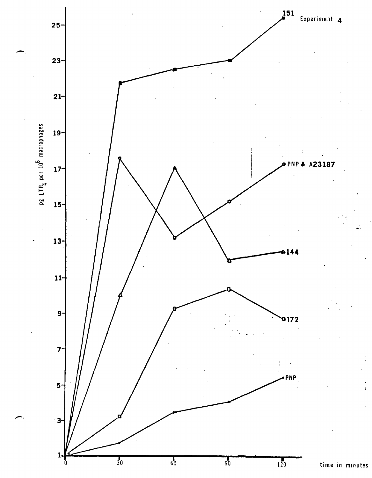![](_page_15_Figure_0.jpeg)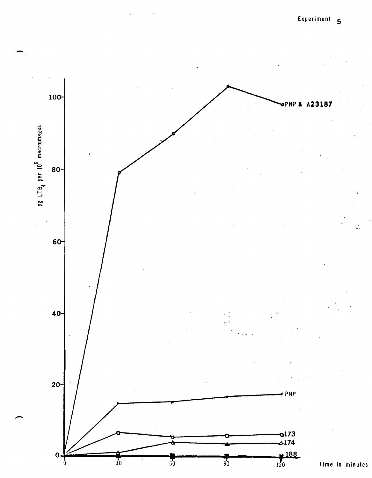![](_page_16_Figure_1.jpeg)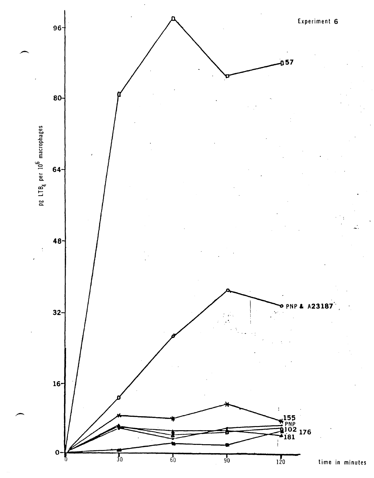![](_page_17_Figure_0.jpeg)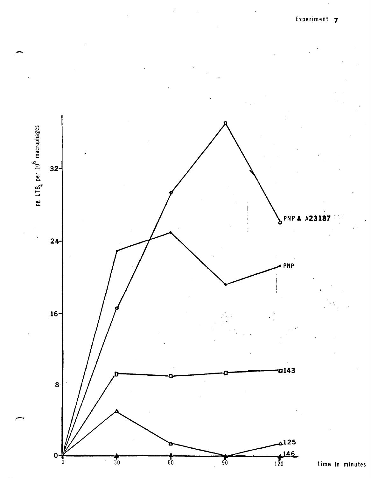![](_page_18_Figure_0.jpeg)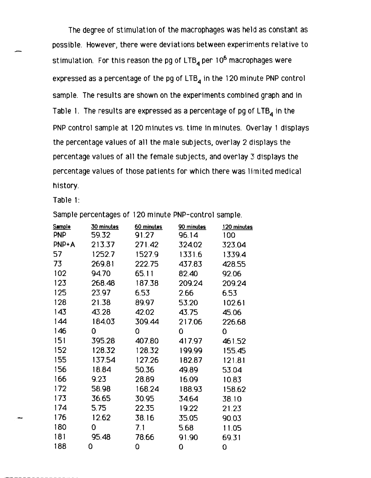The degree of stimulation of the macrophages was held as constant as possible. However, there were deviations between experiments relative to stimulation. For this reason the pg of  $LTB<sub>4</sub>$  per 10<sup>6</sup> macrophages were expressed as a percentage of the pg of  $LTB<sub>4</sub>$  in the 120 minute PNP control sample. The results are shown on the experiments combined graph and in Table 1. The results are expressed as a percentage of pg of  $LTB<sub>4</sub>$  in the PNP control sample at 120 minutes vs. time in minutes. Overlay 1 displays the percentage values of all the male subjects, overlay 2 displays the percentage values of all the female subjects, and overlay 3 displays the percentage values of those patients for which there was limited medical history.

Table 1:

| <b>Sample</b> | 30 minutes | 60 minutes | 90 minutes | 120 minutes |
|---------------|------------|------------|------------|-------------|
| <b>PNP</b>    | 59.32      | 91.27      | 96.14      | 100         |
| <b>PNP+A</b>  | 213.37     | 271.42     | 324.02     | 323.04      |
| 57            | 1252.7     | 1527.9     | 1331.6     | 1339.4      |
| 73            | 269.81     | 222.75     | 437.83     | 428.55      |
| 102           | 94.70      | 65.11      | 82.40      | 92.06       |
| 123           | 268.48     | 187.38     | 209.24     | 209.24      |
| 125           | 23.97      | 6.53       | 2.66       | 6.53        |
| 128           | 21.38      | 89.97      | 53.20      | 102.61      |
| 143           | 43.28      | 42.02      | 43.75      | 45.06       |
| 144           | 184.03     | 309.44     | 217.06     | 226.68      |
| 146           | 0          | 0          | 0          | 0           |
| 151           | 395.28     | 407.80     | 417.97     | 461.52      |
| 152           | 128.32     | 128.32     | 199.99     | 155.45      |
| 155           | 137.54     | 127.26     | 182.87     | 121.81      |
| 156           | 18.84      | 50.36      | 49.89      | 53.04       |
| 166           | 9.23       | 28.89      | 16.09      | 10.83       |
| 172           | 58.98      | 168.24     | 188.93     | 158.62      |
| 173           | 36.65      | 30.95      | 34.64      | 38.10       |
| 174           | 5.75       | 22.35      | 19.22      | 21.23       |
| 176           | 12.62      | 38.16      | 35.05      | 90.03       |

180 0 7.1 5.68 11.05 181 95.48 78.66 91.90 69.31 188 0 0 0 0

Sample percentages of 120 minute PNP-control sample.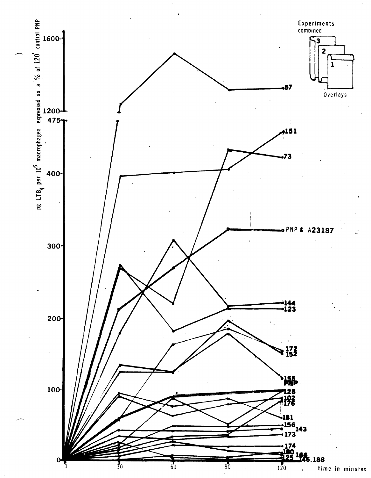![](_page_20_Figure_0.jpeg)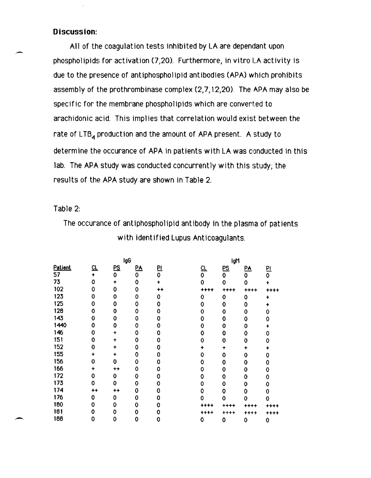# **Discussion:**

A11 of the coagulation tests inhibited by LA are dependant upon phospho1ipids for activation (7,20). Furthermore, in vitro LA activity is due to the presence of antiphospholipid antibodies (APA) which prohibits assembly of the prothrombinase complex (2,7,12,20). The APA may also be specific for the membrane phospholipids which are converted to arachidonic acid. This implies that correlation would exist between the rate of  $LTB<sub>A</sub>$  production and the amount of APA present. A study to determine the occurance of APA in patients with LA was conducted in this lab. The APA study was conducted concurrently with this study; the results of the APA study are shown in Table 2.

### Table 2:

,-

The occurance of antiphospholipid antibody in the plasma of patients with identified Lupus Anticoagulants.

|                | IgG            |                |           |           | lgM       |           |                  |             |
|----------------|----------------|----------------|-----------|-----------|-----------|-----------|------------------|-------------|
| <b>Patient</b> | 뜨              | $P\leq$        | <u>PA</u> | <u>PI</u> | <u>CL</u> | <u>PS</u> | $\underline{PA}$ | 민           |
| 57             | $\ddotmark$    | 0              | 0         | 0         | 0         | 0         | 0                | 0           |
| 73             | 0              | $\ddotmark$    | 0         |           | 0         | 0         | 0                |             |
| 102            | 0              | 0              | 0         | ++        | ++++      | ++++      | ++++             |             |
| 123            | ٥              | 0              | 0         | 0         | 0         | 0         | 0                | +           |
| 125            | 0              | 0              | 0         | 0         | 0         | 0         | 0                |             |
| 128            | 0              | 0              | 0         | o         | 0         | 0         | 0                | Ω           |
| 143            | 0              | 0              | 0         | 0         | 0         | 0         | 0                | 0           |
| 1440           | 0              | 0              | 0         | 0         | 0         | 0         | 0                |             |
| 146            | 0              | +              | 0         | 0         | 0         | 0         | 0                | 0           |
| 151            | 0              | ٠              | 0         | 0         | 0         | 0         | 0                | 0           |
| 152            | 0              | +              | 0         | 0         |           | +         |                  | ۰           |
| 155            | +              | ÷              | 0         | 0         | 0         | 0         | 0                | 0           |
| 156            | 0              | 0              | 0         | 0         | 0         | 0         | 0                | 0           |
| 166            | ٠              | $^{\tiny{++}}$ | 0         | O         | 0         | 0         | 0                | 0           |
| 172            | 0              | 0              | 0         | 0         | 0         | 0         | 0                | 0           |
| 173            | 0              | 0              | 0         | 0         | 0         | 0         | 0                | 0           |
| 174            | $^{\tiny{++}}$ | ++             | 0         | 0         | 0         | 0         | 0                | 0           |
| 176            | 0              | 0              | 0         | 0         | ٥         | 0         | 0                | 0           |
| 180            | 0              | 0              | 0         | 0         | ++++      | ****      | ++++             |             |
| 181            | 0              | 0              | 0         | 0         | ++++      | ++++      | ++++             | ++<br>++    |
| 188            | 0              | 0              | 0         | 0         | 0         | 0         | 0                | $\mathbf 0$ |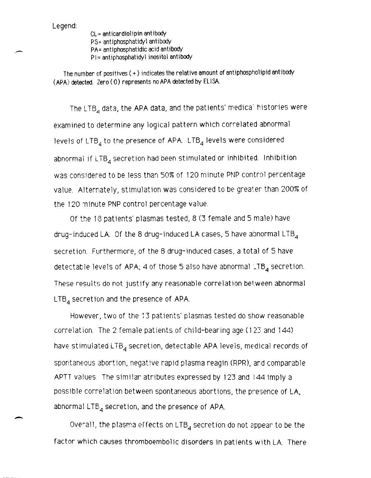Legend:

-

CL= anticardiolipin antibody PS= antiphosphatidyl antibody PA= antiphosphatidic acid antibody PI= antiphosphatidyl inositol antibody

The number of positives  $(+)$  indicates the relative amount of antiphospholipid antibody (APA) detected. Zero ( 0) represents no APA detected by ELI SA.

The LTB<sub>4</sub> data, the APA data, and the patients' medica' histories were examined to determine any logical pattern which correlated abnormal levels of LTB<sub>4</sub> to the presence of APA. LTB<sub>4</sub> levels were considered abnormal if  $LTB_4$  secretion had been stimulated or inhibited. Inhibition was considered to be less than 50% of 120 minute PNP control percentage value. Alternately, stimulation was considered to be greater than 200% of the 120 minute PNP control percentage value.

Of the 13 patients' plasmas tested, 8 (3 female and 5 male) have drug-induced LA. Of the 8 drug-induced LA cases, 5 have abnormal LTB $_4$ secretion. Furthermore, of the 8 drug-induced cases, a total of 5 have detectable levels of APA; 4 of those 5 also have abnormal  $\Box$ TB<sub>4</sub> secretion. These results do not justify any reasonable correlation between abnormal  $LTB<sub>A</sub>$  secretion and the presence of APA.

However, two of the 13 patients' plasmas tested do show reasonable correlation. The 2 female patients of child-bearing age (123 and 144) have stimulated  $LTB<sub>A</sub>$  secretion, detectable APA levels, medical records of spontaneous abortion, negative rapid plasma reagin (RPR), and comparable APTT values The similar atributes expressed by 123 and 144 imply a possible correlation between spontaneous abortions, the presence of LA, abnormal  $LTB<sub>a</sub>$  secretion, and the presence of APA.

Overall, the plasma effects on LTB<sub>4</sub> secretion do not appear to be the factor which causes thromboembolic disorders in patients with LA. There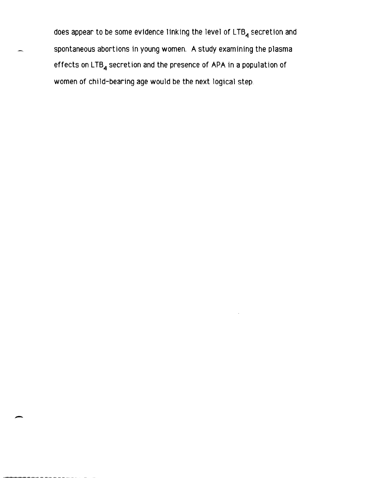does appear to be some evidence linking the level of LTB<sub>4</sub> secretion and spontaneous abortions in young women. A study examining the plasma effects on  $LTB_4$  secretion and the presence of APA in a population of women of child-bearing age would be the next logical step.

-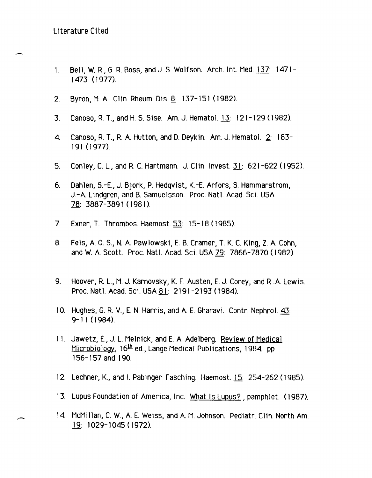L1terature Cited:

-

- 1. Bell, W. R, G. R. Boss, and J. S. Wolfson. Arch. Int. Med. 137: 1471- 1473 (1977).
- 2. Byron, M. A. Clin. Rheum. Dis. 8: 137-151 (1982).
- 3. Canoso, R. T., and H. S. Sise. Am. J. Hematol. 13: 121-129 (1982).
- 4. Canoso, R T., R. A. Hutton, and D. Deykin. Am. J. Hemato1. 2: 183- 191 (1977).
- 5. Conley, C. L., and R. C. Hartmann. J. Clln. Invest. Ii: 621-622 (1952).
- 6. Dahlen, S.-E., J. Bjork, P. Hedqvist, K.-E. Arfors, S. Harnmarstrom, J.-A. Lindgren, and B. Samuelsson. Proc. Natl. Acad. Sci. USA 78: 3887-3891 (198 I).
- 7. Exner, T. Thrombos. Haemost. 53: 15-18 (1985).
- 8. Fels, A. 0.5., N. A. Pawlowski, E. B. Cramer, T. K. C. King, Z. A. Cohn, and W. A. Scott. Proc. Nat1. Acad. Sci. USA 79: 7866-7870 (1982).
- 9. Hoover, R. L., M. J. Karnovsky, K. F. Austen, E. J. Corey, and R.A. Lewis. Proc. Natl. Acad. Sci. USA 81: 2191-2193 (1984).
- 10. Hughes, G. R. V., E. N. Harris, and A. E. Gharavi. Contr. Nephro 1. 43: 9-11 (1984).
- 11. Jawetz, E., J. L. Melnick, and E. A. Adelberg. Review of Medical Microbiology, 16<sup>th</sup> ed., Lange Medical Publications, 1984. pp. 156-157 and 190.
- 12. Lechner, K., and I. Pabinger-Fasching. Haemost.12: 2S4-262 (1985).
- 13. Lupus Foundation of America, Inc. What Is Lupus?, pamphlet. (1987).
- 14. McMillan, C. W., A. E. Weiss, and A. M. Johnson. Pediatr. Clin. North Am. 19: 1029-1045 (1972).